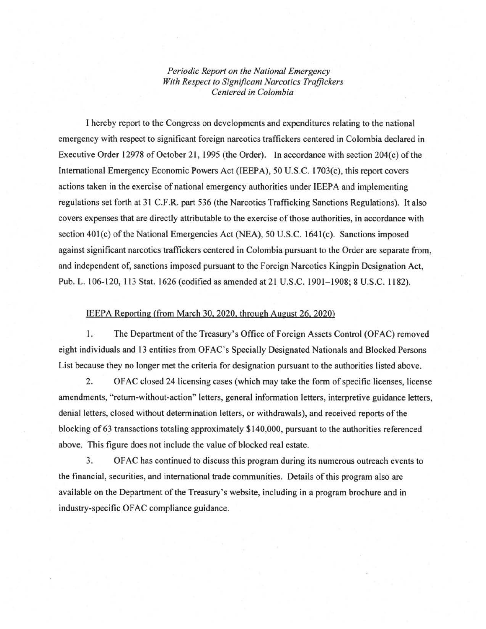*Periodic Report on the Nationa/ Emergency With Respect to Signijicant Narcotics Trafjickers*  **Centered in Colombia** 

I hereby report to the Congress on developments and expenditures relating to the national emergency with respect to significant foreign narcotics traffickers centered in Colombia declared in Executive Order 12978 of October 21, 1995 (the Order). In accordance with section 204(c) of the International Emergency Economic Powers Act (IEEPA), 50 U.S.C. 1703(c), this report covers actions taken in the exercise of national emergency authorities under IEEPA and implementing regulations set forth at 31 C.F .R. part 536 (the Narcotics Trafficking Sanctions Regulations). It also covers expenses that are directly attributable to the exercise of those authorities, in accordance with section 401(c) of the National Emergencies Act (NEA), 50 U.S.C. 1641(c). Sanctions imposed against significant narcotics traffickers centered in Colombia pursuant to the Order are separate from, and independent of, sanctions imposed pursuant to the Foreign Narcotics Kingpin Designation Act, Pub. L. 106-120, 113 Stat. 1626 (codified as amended at 21 U.S.C. 1901-1908; 8 U.S.C. 1182).

## IEEPA Reporting (from March 30, 2020, through August 26,2020)

1. The Department of the Treasury's Office of Foreign Assets Control (OFAC) removed eight individuals and 13 entities from OF AC's Specially Designated Nationals and Blocked Persons List because they no longer met the criteria for designation pursuant to the authorities listed above.

2. OFAC closed 24 licensing cases (which may take the form of specific licenses, license amendments, "return-without-action" letters, general infonnation letters, interpretive guidance letters, denial letters, closed without determination letters, or withdrawals), and received reports of the blocking of 63 transactions totaling approximately \$140,000, pursuant to the authorities referenced above. This figure does not include the value of blocked real estate.

3. OFAC has continued to discuss this program during its numerous outreach events to the financial, securities, and international trade communities. Details ofthis program also are available on the Department of the Treasury's website, including in a program brochure and in industry-specific OF AC compliance guidance.